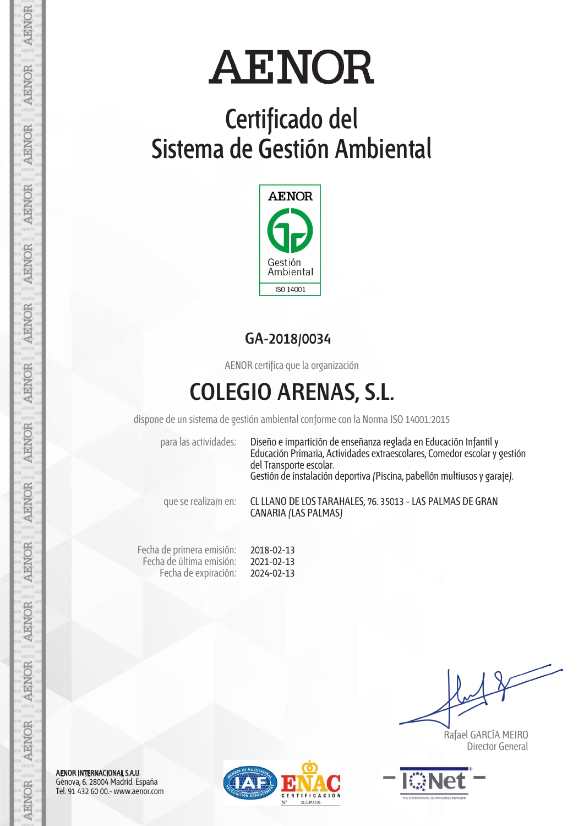## **Certificado del Sistema de Gestión Ambiental**



### **GA-2018/0034**

AENOR certifica que la organización

## **COLEGIO ARENAS, S.L.**

dispone de un sistema de gestión ambiental conforme con la Norma ISO 14001:2015

para las actividades: Diseño e impartición de enseñanza reglada en Educación Infantil y Educación Primaria, Actividades extraescolares, Comedor escolar y gestión del Transporte escolar. Gestión de instalación deportiva (Piscina, pabellón multiusos y garaje).

que se realiza/n en: CL LLANO DE LOS TARAHALES, 76. 35013 - LAS PALMAS DE GRAN CANARIA (LAS PALMAS)

Fecha de primera emisión: Fecha de última emisión: Fecha de expiración: 2018-02-13 2021-02-13 2024-02-13

 Rafael GARCÍA MEIRO Director General



AENOR INTERNACIONAL S.A.U. Génova, 6. 28004 Madrid. España Tel. 91 432 60 00.- www.aenor.com